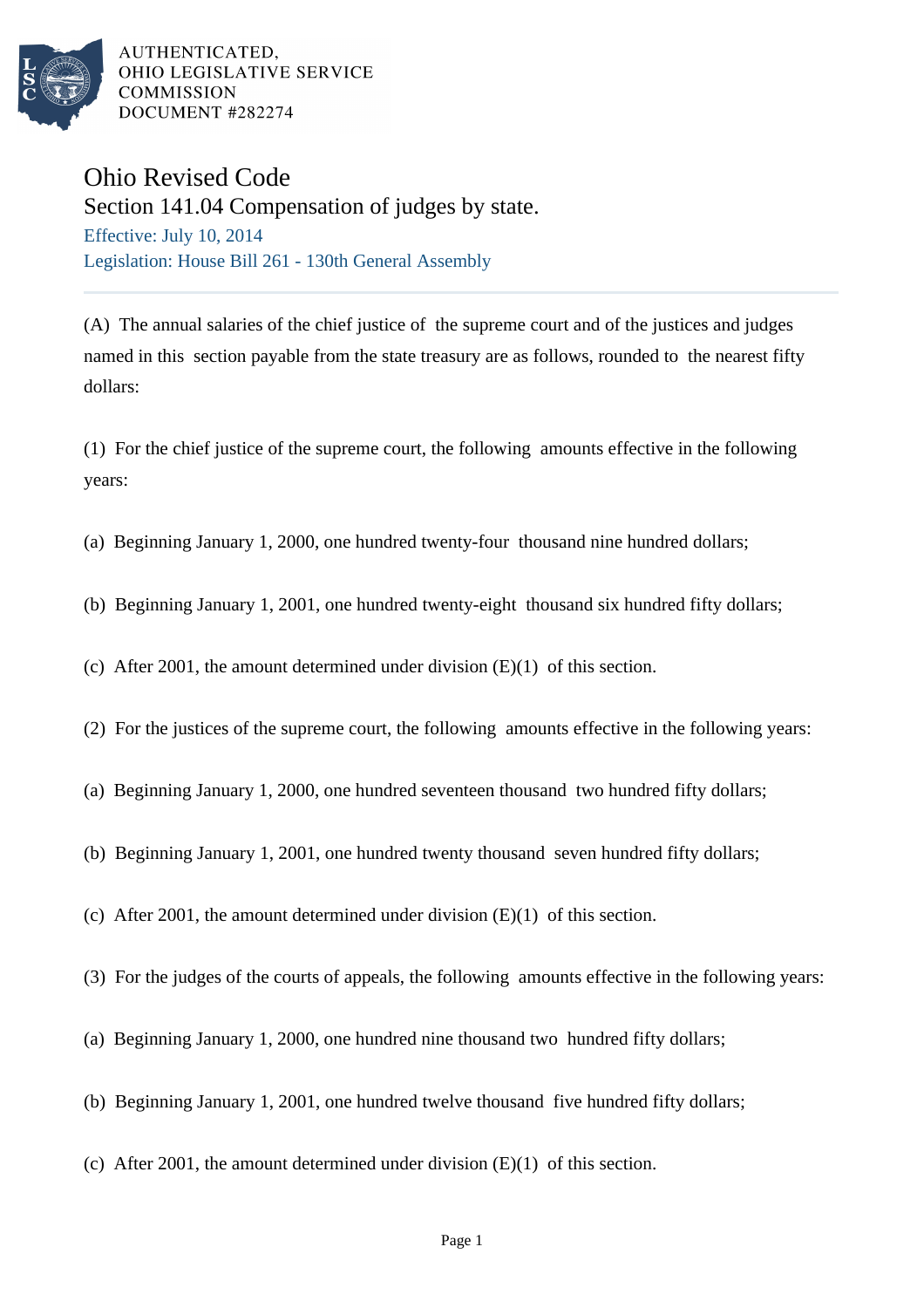

AUTHENTICATED. OHIO LEGISLATIVE SERVICE **COMMISSION** DOCUMENT #282274

## Ohio Revised Code

Section 141.04 Compensation of judges by state. Effective: July 10, 2014 Legislation: House Bill 261 - 130th General Assembly

(A) The annual salaries of the chief justice of the supreme court and of the justices and judges named in this section payable from the state treasury are as follows, rounded to the nearest fifty dollars:

(1) For the chief justice of the supreme court, the following amounts effective in the following years:

- (a) Beginning January 1, 2000, one hundred twenty-four thousand nine hundred dollars;
- (b) Beginning January 1, 2001, one hundred twenty-eight thousand six hundred fifty dollars;
- (c) After 2001, the amount determined under division  $(E)(1)$  of this section.
- (2) For the justices of the supreme court, the following amounts effective in the following years:
- (a) Beginning January 1, 2000, one hundred seventeen thousand two hundred fifty dollars;
- (b) Beginning January 1, 2001, one hundred twenty thousand seven hundred fifty dollars;
- (c) After 2001, the amount determined under division  $(E)(1)$  of this section.
- (3) For the judges of the courts of appeals, the following amounts effective in the following years:
- (a) Beginning January 1, 2000, one hundred nine thousand two hundred fifty dollars;
- (b) Beginning January 1, 2001, one hundred twelve thousand five hundred fifty dollars;
- (c) After 2001, the amount determined under division  $(E)(1)$  of this section.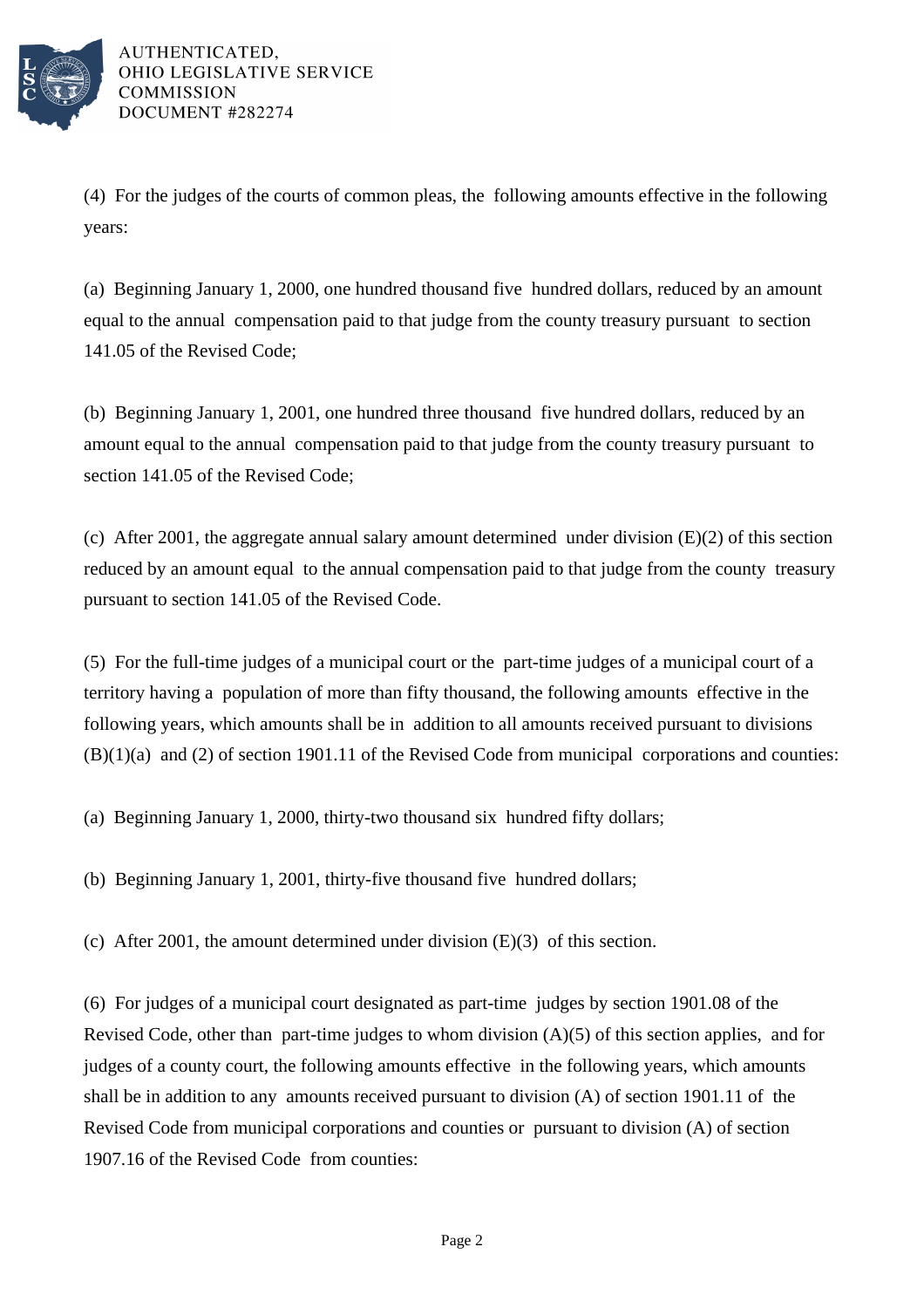

(4) For the judges of the courts of common pleas, the following amounts effective in the following years:

(a) Beginning January 1, 2000, one hundred thousand five hundred dollars, reduced by an amount equal to the annual compensation paid to that judge from the county treasury pursuant to section 141.05 of the Revised Code;

(b) Beginning January 1, 2001, one hundred three thousand five hundred dollars, reduced by an amount equal to the annual compensation paid to that judge from the county treasury pursuant to section 141.05 of the Revised Code;

(c) After 2001, the aggregate annual salary amount determined under division (E)(2) of this section reduced by an amount equal to the annual compensation paid to that judge from the county treasury pursuant to section 141.05 of the Revised Code.

(5) For the full-time judges of a municipal court or the part-time judges of a municipal court of a territory having a population of more than fifty thousand, the following amounts effective in the following years, which amounts shall be in addition to all amounts received pursuant to divisions (B)(1)(a) and (2) of section 1901.11 of the Revised Code from municipal corporations and counties:

(a) Beginning January 1, 2000, thirty-two thousand six hundred fifty dollars;

(b) Beginning January 1, 2001, thirty-five thousand five hundred dollars;

(c) After 2001, the amount determined under division (E)(3) of this section.

(6) For judges of a municipal court designated as part-time judges by section 1901.08 of the Revised Code, other than part-time judges to whom division  $(A)(5)$  of this section applies, and for judges of a county court, the following amounts effective in the following years, which amounts shall be in addition to any amounts received pursuant to division (A) of section 1901.11 of the Revised Code from municipal corporations and counties or pursuant to division (A) of section 1907.16 of the Revised Code from counties: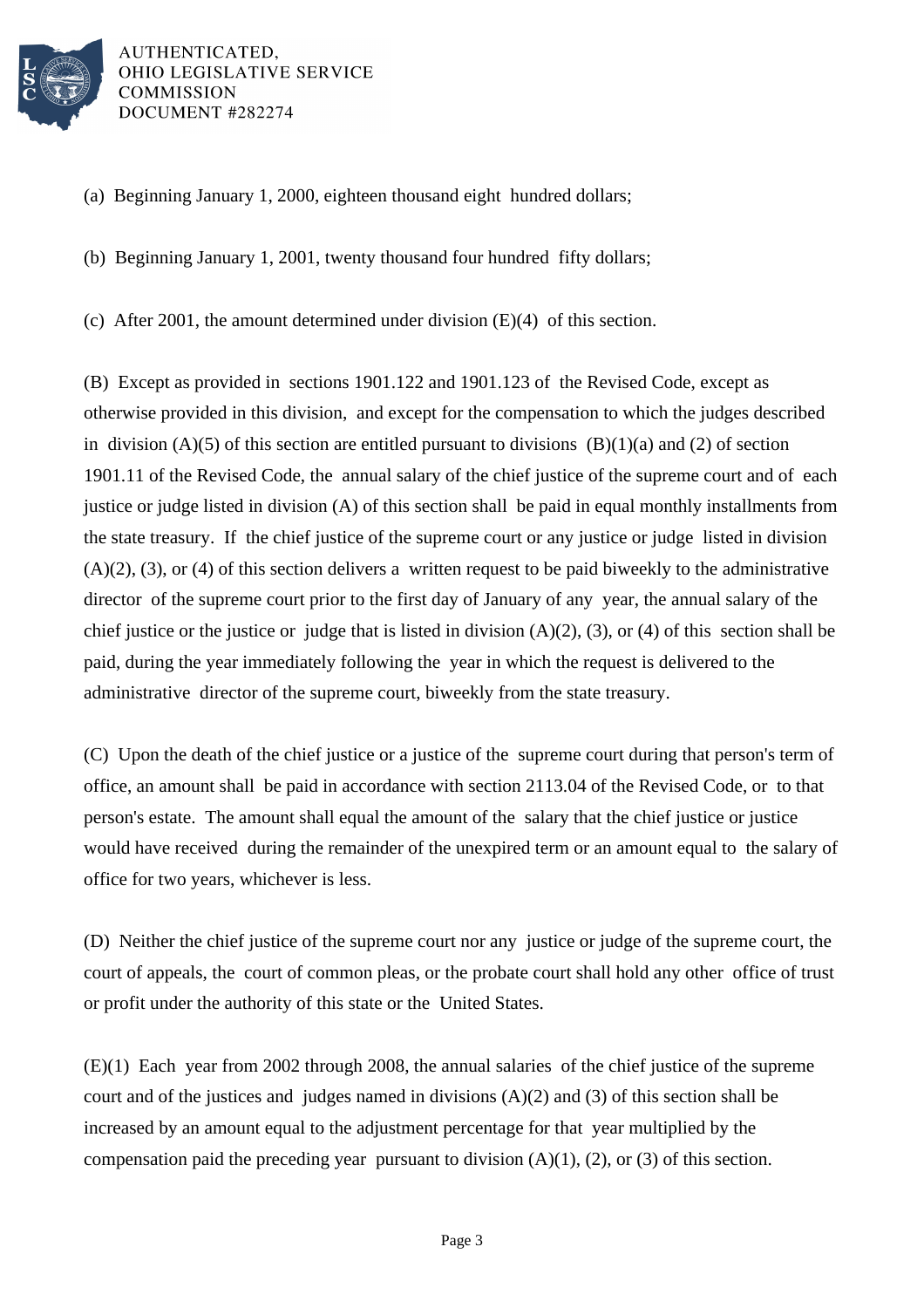

AUTHENTICATED, OHIO LEGISLATIVE SERVICE **COMMISSION** DOCUMENT #282274

(a) Beginning January 1, 2000, eighteen thousand eight hundred dollars;

(b) Beginning January 1, 2001, twenty thousand four hundred fifty dollars;

(c) After 2001, the amount determined under division  $(E)(4)$  of this section.

(B) Except as provided in sections 1901.122 and 1901.123 of the Revised Code, except as otherwise provided in this division, and except for the compensation to which the judges described in division (A)(5) of this section are entitled pursuant to divisions (B)(1)(a) and (2) of section 1901.11 of the Revised Code, the annual salary of the chief justice of the supreme court and of each justice or judge listed in division (A) of this section shall be paid in equal monthly installments from the state treasury. If the chief justice of the supreme court or any justice or judge listed in division  $(A)(2)$ ,  $(3)$ , or  $(4)$  of this section delivers a written request to be paid biweekly to the administrative director of the supreme court prior to the first day of January of any year, the annual salary of the chief justice or the justice or judge that is listed in division  $(A)(2)$ ,  $(3)$ , or  $(4)$  of this section shall be paid, during the year immediately following the year in which the request is delivered to the administrative director of the supreme court, biweekly from the state treasury.

(C) Upon the death of the chief justice or a justice of the supreme court during that person's term of office, an amount shall be paid in accordance with section 2113.04 of the Revised Code, or to that person's estate. The amount shall equal the amount of the salary that the chief justice or justice would have received during the remainder of the unexpired term or an amount equal to the salary of office for two years, whichever is less.

(D) Neither the chief justice of the supreme court nor any justice or judge of the supreme court, the court of appeals, the court of common pleas, or the probate court shall hold any other office of trust or profit under the authority of this state or the United States.

(E)(1) Each year from 2002 through 2008, the annual salaries of the chief justice of the supreme court and of the justices and judges named in divisions (A)(2) and (3) of this section shall be increased by an amount equal to the adjustment percentage for that year multiplied by the compensation paid the preceding year pursuant to division  $(A)(1)$ ,  $(2)$ , or  $(3)$  of this section.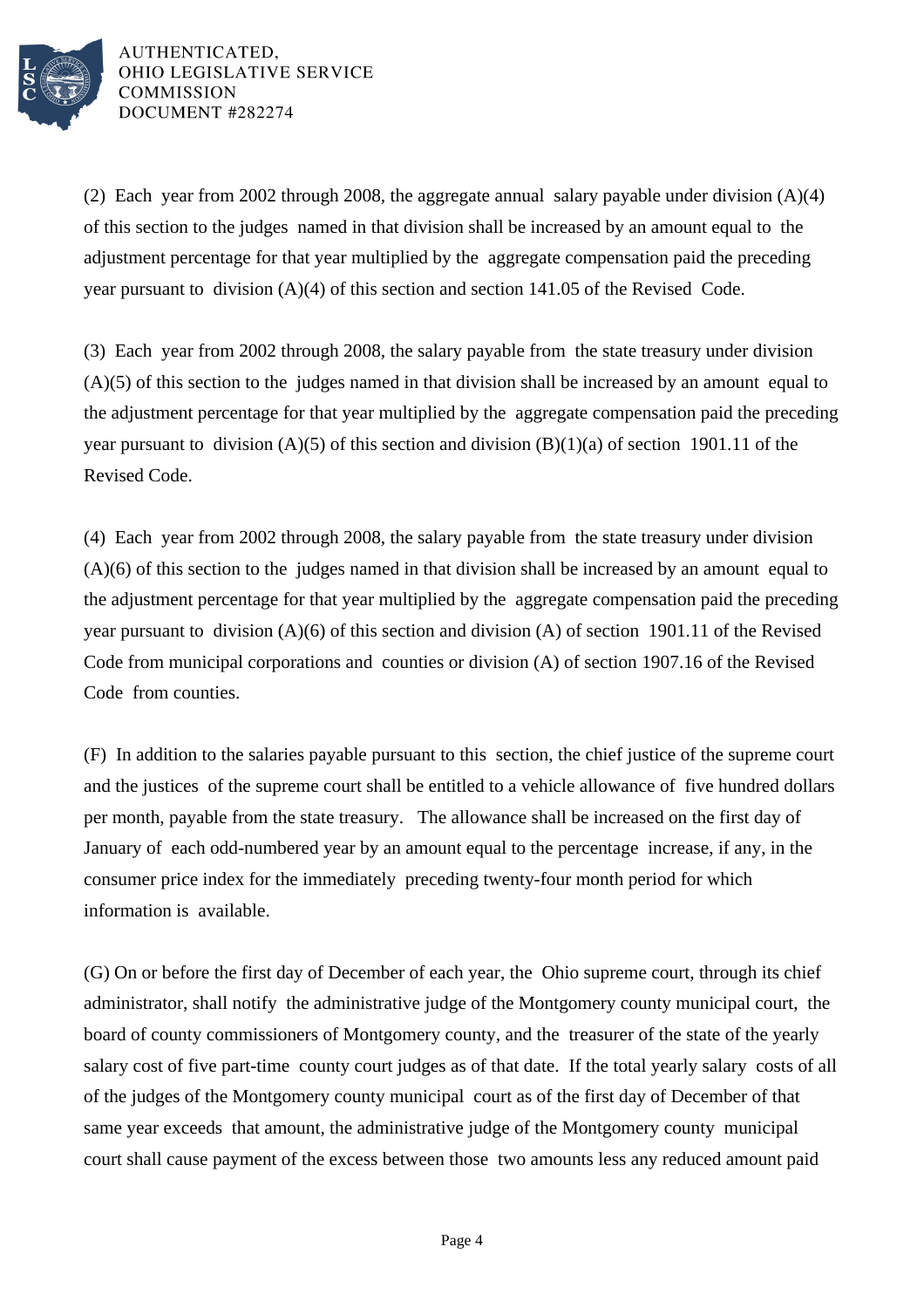

AUTHENTICATED, OHIO LEGISLATIVE SERVICE **COMMISSION** DOCUMENT #282274

(2) Each year from 2002 through 2008, the aggregate annual salary payable under division (A)(4) of this section to the judges named in that division shall be increased by an amount equal to the adjustment percentage for that year multiplied by the aggregate compensation paid the preceding year pursuant to division (A)(4) of this section and section 141.05 of the Revised Code.

(3) Each year from 2002 through 2008, the salary payable from the state treasury under division (A)(5) of this section to the judges named in that division shall be increased by an amount equal to the adjustment percentage for that year multiplied by the aggregate compensation paid the preceding year pursuant to division  $(A)(5)$  of this section and division  $(B)(1)(a)$  of section 1901.11 of the Revised Code.

(4) Each year from 2002 through 2008, the salary payable from the state treasury under division (A)(6) of this section to the judges named in that division shall be increased by an amount equal to the adjustment percentage for that year multiplied by the aggregate compensation paid the preceding year pursuant to division (A)(6) of this section and division (A) of section 1901.11 of the Revised Code from municipal corporations and counties or division (A) of section 1907.16 of the Revised Code from counties.

(F) In addition to the salaries payable pursuant to this section, the chief justice of the supreme court and the justices of the supreme court shall be entitled to a vehicle allowance of five hundred dollars per month, payable from the state treasury. The allowance shall be increased on the first day of January of each odd-numbered year by an amount equal to the percentage increase, if any, in the consumer price index for the immediately preceding twenty-four month period for which information is available.

(G) On or before the first day of December of each year, the Ohio supreme court, through its chief administrator, shall notify the administrative judge of the Montgomery county municipal court, the board of county commissioners of Montgomery county, and the treasurer of the state of the yearly salary cost of five part-time county court judges as of that date. If the total yearly salary costs of all of the judges of the Montgomery county municipal court as of the first day of December of that same year exceeds that amount, the administrative judge of the Montgomery county municipal court shall cause payment of the excess between those two amounts less any reduced amount paid